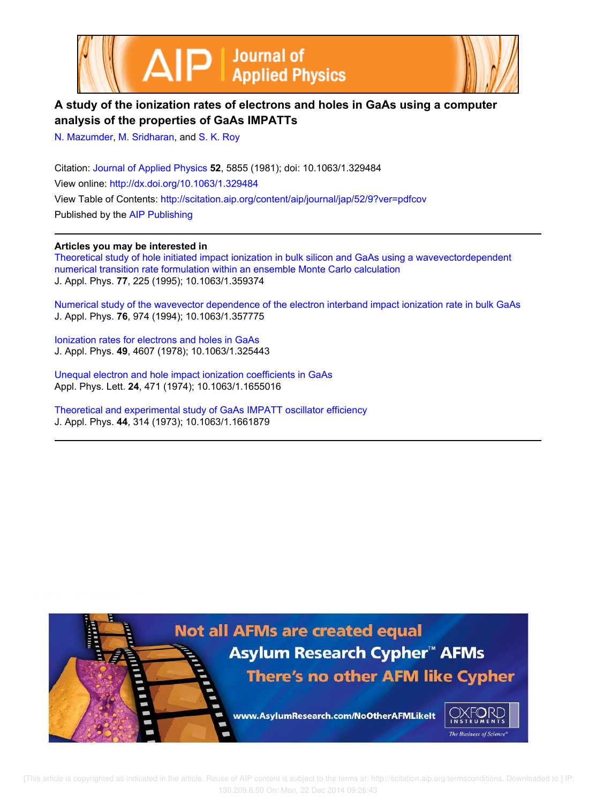



## **A study of the ionization rates of electrons and holes in GaAs using a computer analysis of the properties of GaAs IMPATTs**

N. Mazumder, M. Sridharan, and S. K. Roy

Citation: Journal of Applied Physics **52**, 5855 (1981); doi: 10.1063/1.329484 View online: http://dx.doi.org/10.1063/1.329484 View Table of Contents: http://scitation.aip.org/content/aip/journal/jap/52/9?ver=pdfcov Published by the AIP Publishing

## **Articles you may be interested in**

Theoretical study of hole initiated impact ionization in bulk silicon and GaAs using a wavevectordependent numerical transition rate formulation within an ensemble Monte Carlo calculation J. Appl. Phys. **77**, 225 (1995); 10.1063/1.359374

Numerical study of the wavevector dependence of the electron interband impact ionization rate in bulk GaAs J. Appl. Phys. **76**, 974 (1994); 10.1063/1.357775

Ionization rates for electrons and holes in GaAs J. Appl. Phys. **49**, 4607 (1978); 10.1063/1.325443

Unequal electron and hole impact ionization coefficients in GaAs Appl. Phys. Lett. **24**, 471 (1974); 10.1063/1.1655016

Theoretical and experimental study of GaAs IMPATT oscillator efficiency J. Appl. Phys. **44**, 314 (1973); 10.1063/1.1661879

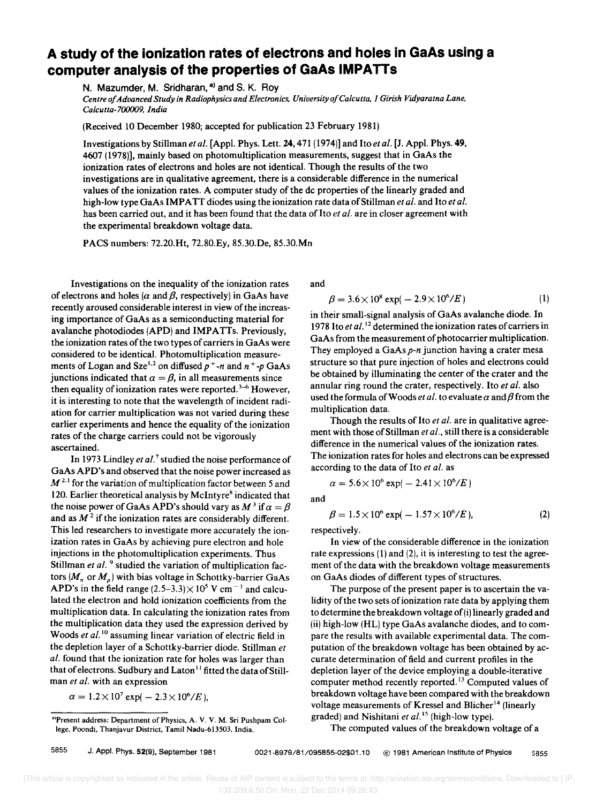## **A study of the ionization rates of electrons and holes in GaAs using a computer analysis of the properties of GaAs IMPATTs**

N. Mazumder, M. Sridharan, a) and S. K. Rov

*Centre 0/ Advanced Study in Radiophysics and Electronics, University o/Calcutta,* J *Girish Vidyaratna Lane. Calcutta-700009, India* 

(Received 10 December 1980; accepted for publication 23 February 1981)

Investigations by Stillman *et al.* [Appl. Phys. Lett. 24,471 (1974)] and *Itoetal.* [J. Appl. Phys. 49, 4607 (1978)], mainly based on photomultiplication measurements, suggest that in GaAs the ionization rates of electrons and holes are not identical. Though the results of the two investigations are in qualitative agreement, there is a considerable difference in the numerical values of the ionization rates. A computer study of the dc properties of the linearly graded and high-low type GaAs IMPATT diodes using the ionization rate data of Stillman *et al.* and Ito *et al.* has been carried out, and it has been found that the data of Ito *et al.* are in closer agreement with the experimental breakdown voltage data.

PACS numbers: 72.20.Ht, 72.80.Ey, 85.30.De, 85.30.Mn

Investigations on the inequality of the ionization rates of electrons and holes ( $\alpha$  and  $\beta$ , respectively) in GaAs have recently aroused considerable interest in view of the increasing importance of GaAs as a semiconducting material for avalanche photodiodes (APD) and IMPATTs. Previously, the ionization rates of the two types of carriers in GaAs were considered to be identical. Photomultiplication measurements of Logan and Sze<sup>1,2</sup> on diffused  $p^+$ -*n* and  $n^+$ - $p$  GaAs junctions indicated that  $\alpha = \beta$ , in all measurements since then equality of ionization rates were reported.<sup>3–6</sup> However, it is interesting to note that the wavelength of incident radiation for carrier multiplication was not varied during these earlier experiments and hence the equality of the ionization rates of the charge carriers could not be vigorously ascertained.

In 1973 Lindley *et al.* 7 studied the noise performance of GaAs APD's and observed that the noise power increased as  $M<sup>2.1</sup>$  for the variation of multiplication factor between 5 and 120. Earlier theoretical analysis by McIntyre<sup>8</sup> indicated that the noise power of GaAs APD's should vary as  $M^3$  if  $\alpha = \beta$ and as  $M<sup>2</sup>$  if the ionization rates are considerably different. This led researchers to investigate more accurately the ionization rates in GaAs by achieving pure electron and hole injections in the photomultiplication experiments. Thus Stillman et al.<sup>9</sup> studied the variation of multiplication factors  $(M_n \text{ or } M_p)$  with bias voltage in Schottky-barrier GaAs APD's in the field range  $(2.5-3.3) \times 10^5$  V cm<sup>-1</sup> and calculated the electron and hold ionization coefficients from the multiplication data. In calculating the ionization rates from the multiplication data they used the expression derived by Woods *et al.*<sup>10</sup> assuming linear variation of electric field in the depletion layer of a Schottky-barrier diode. Stillman *et al.* found that the ionization rate for holes was larger than that of electrons. Sudbury and Laton<sup>11</sup> fitted the data of Stillman *et a/.* with an expression

 $\alpha = 1.2 \times 10^7 \exp(-2.3 \times 10^6 / E),$ 

and

$$
\beta = 3.6 \times 10^8 \exp(-2.9 \times 10^6 / E) \tag{1}
$$

in their small-signal analysis of GaAs avalanche diode. In 1978 Ito *et al.* 12 determined the ionization rates of carriers in GaAs from the measurement of photocarrier multiplication. They employed a GaAs *p-n* junction having a crater mesa structure so that pure injection of holes and electrons could be obtained by illuminating the center of the crater and the annular ring round the crater, respectively. Ito *et al.* also used the formula of Woods *et al.* to evaluate  $\alpha$  and  $\beta$  from the multiplication data.

Though the results of Ito *et al.* are in qualitative agreement with those of Stillman *et al.,* still there is a considerable difference in the numerical values of the ionization rates. The ionization rates for holes and electrons can be expressed according to the data of Ito *et al.* as

$$
\alpha = 5.6 \times 10^6 \exp(-2.41 \times 10^6 / E)
$$

and

$$
\beta = 1.5 \times 10^6 \exp(-1.57 \times 10^6 / E), \tag{2}
$$

respectively.

In view of the considerable difference in the ionization rate expressions (1) and (2), it is interesting to test the agreement of the data with the breakdown voltage measurements on GaAs diodes of different types of structures.

The purpose of the present paper is to ascertain the validity of the two sets of ionization rate data by applying them to determine the breakdown voltage of (i) linearly graded and (ii) high-low (HL) type GaAs avalanche diodes, and to compare the results with available experimental data. The computation of the breakdown voltage has been obtained by accurate determination of field and current profiles in the depletion layer of the device employing a double-iterative computer method recently reported. 13 Computed values of breakdown voltage have been compared with the breakdown voltage measurements of Kressel and Blicher<sup>14</sup> (linearly graded) and Nishitani et al.<sup>15</sup> (high-low type).

The computed values of the breakdown voltage of a

a)Present address: Department of Physics, A. V. V. M. Sri Pushpam College. Poondi. Thanjavur District, Tamil Nadu-613503, India.